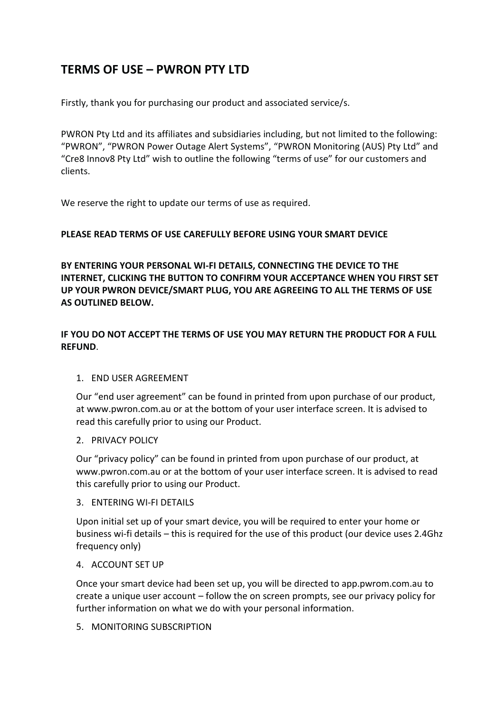# **TERMS OF USE – PWRON PTY LTD**

Firstly, thank you for purchasing our product and associated service/s.

PWRON Pty Ltd and its affiliates and subsidiaries including, but not limited to the following: "PWRON", "PWRON Power Outage Alert Systems", "PWRON Monitoring (AUS) Pty Ltd" and "Cre8 Innov8 Pty Ltd" wish to outline the following "terms of use" for our customers and clients.

We reserve the right to update our terms of use as required.

## **PLEASE READ TERMS OF USE CAREFULLY BEFORE USING YOUR SMART DEVICE**

**BY ENTERING YOUR PERSONAL WI-FI DETAILS, CONNECTING THE DEVICE TO THE INTERNET, CLICKING THE BUTTON TO CONFIRM YOUR ACCEPTANCE WHEN YOU FIRST SET UP YOUR PWRON DEVICE/SMART PLUG, YOU ARE AGREEING TO ALL THE TERMS OF USE AS OUTLINED BELOW.** 

## **IF YOU DO NOT ACCEPT THE TERMS OF USE YOU MAY RETURN THE PRODUCT FOR A FULL REFUND**.

#### 1. END USER AGREEMENT

Our "end user agreement" can be found in printed from upon purchase of our product, at www.pwron.com.au or at the bottom of your user interface screen. It is advised to read this carefully prior to using our Product.

#### 2. PRIVACY POLICY

Our "privacy policy" can be found in printed from upon purchase of our product, at www.pwron.com.au or at the bottom of your user interface screen. It is advised to read this carefully prior to using our Product.

#### 3. ENTERING WI-FI DETAILS

Upon initial set up of your smart device, you will be required to enter your home or business wi-fi details – this is required for the use of this product (our device uses 2.4Ghz frequency only)

#### 4. ACCOUNT SET UP

Once your smart device had been set up, you will be directed to app.pwrom.com.au to create a unique user account – follow the on screen prompts, see our privacy policy for further information on what we do with your personal information.

#### 5. MONITORING SUBSCRIPTION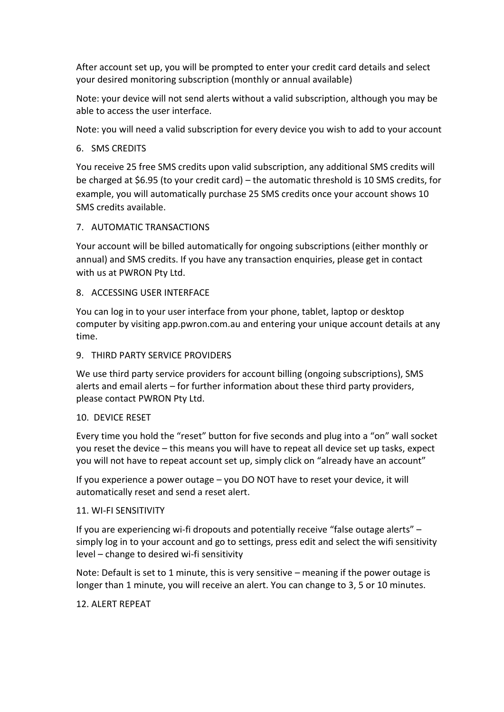After account set up, you will be prompted to enter your credit card details and select your desired monitoring subscription (monthly or annual available)

Note: your device will not send alerts without a valid subscription, although you may be able to access the user interface.

Note: you will need a valid subscription for every device you wish to add to your account

## 6. SMS CREDITS

You receive 25 free SMS credits upon valid subscription, any additional SMS credits will be charged at \$6.95 (to your credit card) – the automatic threshold is 10 SMS credits, for example, you will automatically purchase 25 SMS credits once your account shows 10 SMS credits available.

## 7. AUTOMATIC TRANSACTIONS

Your account will be billed automatically for ongoing subscriptions (either monthly or annual) and SMS credits. If you have any transaction enquiries, please get in contact with us at PWRON Pty Ltd.

#### 8. ACCESSING USER INTERFACE

You can log in to your user interface from your phone, tablet, laptop or desktop computer by visiting app.pwron.com.au and entering your unique account details at any time.

#### 9. THIRD PARTY SERVICE PROVIDERS

We use third party service providers for account billing (ongoing subscriptions), SMS alerts and email alerts – for further information about these third party providers, please contact PWRON Pty Ltd.

#### 10. DEVICE RESET

Every time you hold the "reset" button for five seconds and plug into a "on" wall socket you reset the device – this means you will have to repeat all device set up tasks, expect you will not have to repeat account set up, simply click on "already have an account"

If you experience a power outage – you DO NOT have to reset your device, it will automatically reset and send a reset alert.

#### 11. WI-FI SENSITIVITY

If you are experiencing wi-fi dropouts and potentially receive "false outage alerts" – simply log in to your account and go to settings, press edit and select the wifi sensitivity level – change to desired wi-fi sensitivity

Note: Default is set to 1 minute, this is very sensitive – meaning if the power outage is longer than 1 minute, you will receive an alert. You can change to 3, 5 or 10 minutes.

#### 12. ALERT REPEAT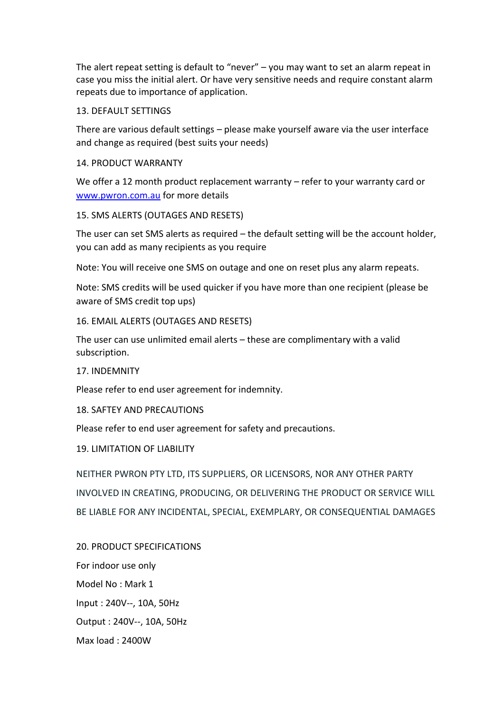The alert repeat setting is default to "never" – you may want to set an alarm repeat in case you miss the initial alert. Or have very sensitive needs and require constant alarm repeats due to importance of application.

#### 13. DEFAULT SETTINGS

There are various default settings – please make yourself aware via the user interface and change as required (best suits your needs)

#### 14. PRODUCT WARRANTY

We offer a 12 month product replacement warranty – refer to your warranty card or [www.pwron.com.au](http://www.pwron.com.au/) for more details

## 15. SMS ALERTS (OUTAGES AND RESETS)

The user can set SMS alerts as required – the default setting will be the account holder, you can add as many recipients as you require

Note: You will receive one SMS on outage and one on reset plus any alarm repeats.

Note: SMS credits will be used quicker if you have more than one recipient (please be aware of SMS credit top ups)

## 16. EMAIL ALERTS (OUTAGES AND RESETS)

The user can use unlimited email alerts – these are complimentary with a valid subscription.

17. INDEMNITY

Please refer to end user agreement for indemnity.

#### 18. SAFTEY AND PRECAUTIONS

Please refer to end user agreement for safety and precautions.

#### 19. LIMITATION OF LIABILITY

NEITHER PWRON PTY LTD, ITS SUPPLIERS, OR LICENSORS, NOR ANY OTHER PARTY INVOLVED IN CREATING, PRODUCING, OR DELIVERING THE PRODUCT OR SERVICE WILL BE LIABLE FOR ANY INCIDENTAL, SPECIAL, EXEMPLARY, OR CONSEQUENTIAL DAMAGES

20. PRODUCT SPECIFICATIONS For indoor use only Model No : Mark 1 Input : 240V--, 10A, 50Hz Output : 240V--, 10A, 50Hz Max load : 2400W